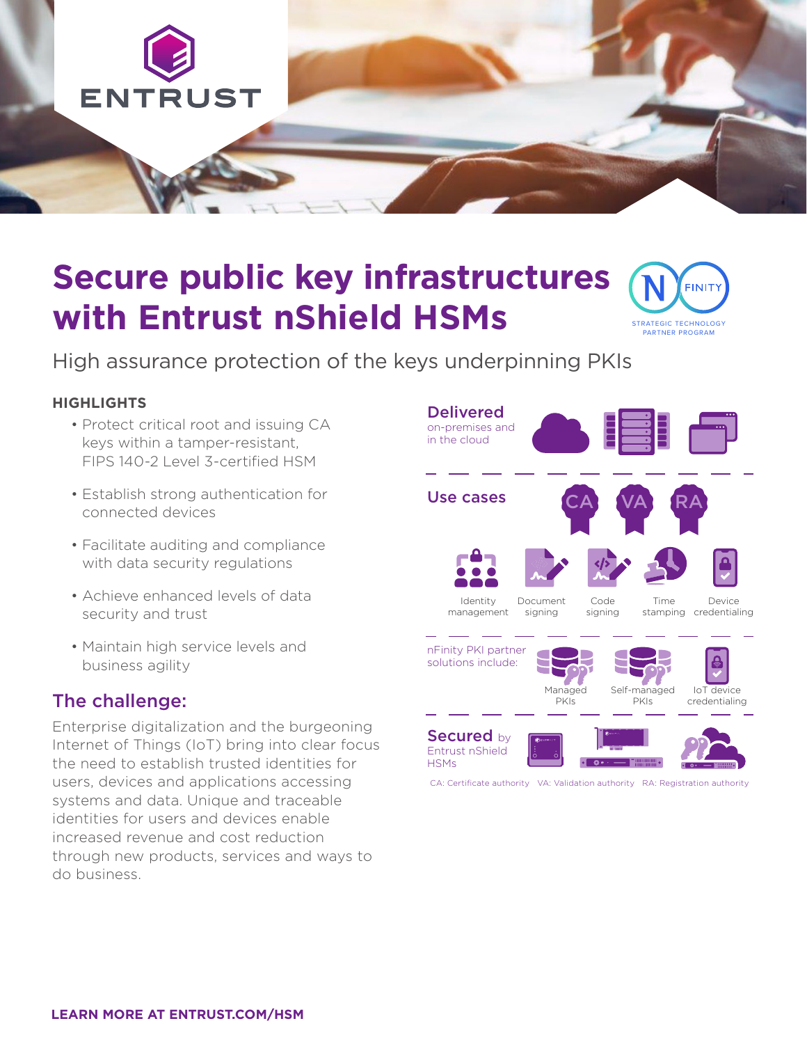

# **Secure public key infrastructures with Entrust nShield HSMs**



High assurance protection of the keys underpinning PKIs

#### **HIGHLIGHTS**

- Protect critical root and issuing CA keys within a tamper-resistant, FIPS 140-2 Level 3-certified HSM
- Establish strong authentication for connected devices
- Facilitate auditing and compliance with data security regulations
- Achieve enhanced levels of data security and trust
- Maintain high service levels and business agility

### The challenge:

Enterprise digitalization and the burgeoning Internet of Things (IoT) bring into clear focus the need to establish trusted identities for users, devices and applications accessing systems and data. Unique and traceable identities for users and devices enable increased revenue and cost reduction through new products, services and ways to do business.



CA: Certificate authority VA: Validation authority RA: Registration authority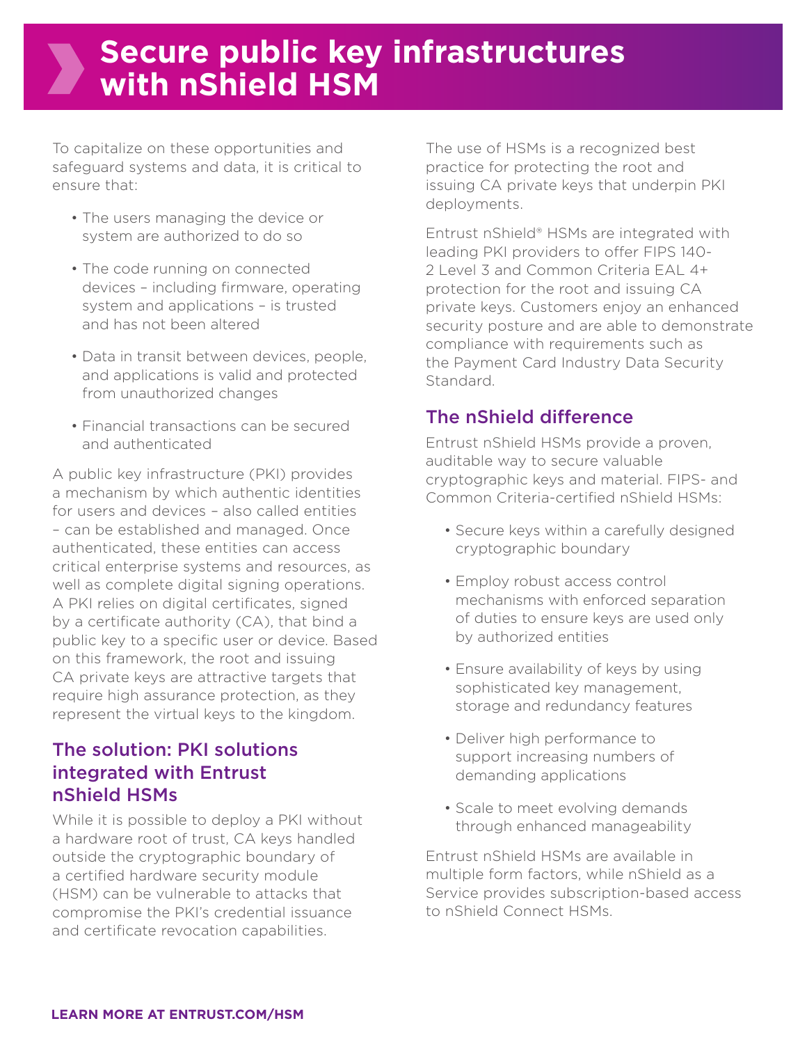## **Secure public key infrastructures with nShield HSM**

To capitalize on these opportunities and safeguard systems and data, it is critical to ensure that:

- The users managing the device or system are authorized to do so
- The code running on connected devices – including firmware, operating system and applications – is trusted and has not been altered
- Data in transit between devices, people, and applications is valid and protected from unauthorized changes
- Financial transactions can be secured and authenticated

A public key infrastructure (PKI) provides a mechanism by which authentic identities for users and devices – also called entities – can be established and managed. Once authenticated, these entities can access critical enterprise systems and resources, as well as complete digital signing operations. A PKI relies on digital certificates, signed by a certificate authority (CA), that bind a public key to a specific user or device. Based on this framework, the root and issuing CA private keys are attractive targets that require high assurance protection, as they represent the virtual keys to the kingdom.

## The solution: PKI solutions integrated with Entrust nShield HSMs

While it is possible to deploy a PKI without a hardware root of trust, CA keys handled outside the cryptographic boundary of a certified hardware security module (HSM) can be vulnerable to attacks that compromise the PKI's credential issuance and certificate revocation capabilities.

The use of HSMs is a recognized best practice for protecting the root and issuing CA private keys that underpin PKI deployments.

Entrust nShield® HSMs are integrated with leading PKI providers to offer FIPS 140- 2 Level 3 and Common Criteria EAL 4+ protection for the root and issuing CA private keys. Customers enjoy an enhanced security posture and are able to demonstrate compliance with requirements such as the Payment Card Industry Data Security Standard.

## The nShield difference

Entrust nShield HSMs provide a proven, auditable way to secure valuable cryptographic keys and material. FIPS- and Common Criteria-certified nShield HSMs:

- Secure keys within a carefully designed cryptographic boundary
- Employ robust access control mechanisms with enforced separation of duties to ensure keys are used only by authorized entities
- Ensure availability of keys by using sophisticated key management, storage and redundancy features
- Deliver high performance to support increasing numbers of demanding applications
- Scale to meet evolving demands through enhanced manageability

Entrust nShield HSMs are available in multiple form factors, while nShield as a Service provides subscription-based access to nShield Connect HSMs.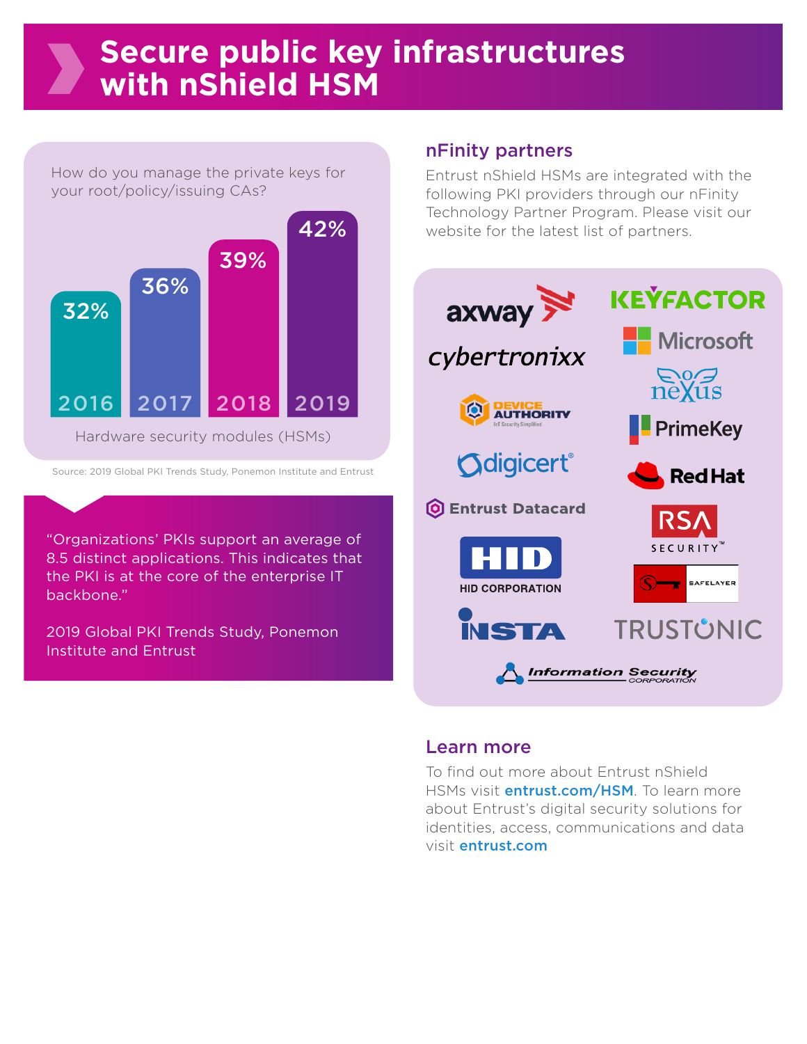## **Secure public key infrastructures with nShield HSM**

How do you manage the private keys for your root/policy/issuing CAs?



Source: 2019 Global PKI Trends Study, Ponemon Institute and Entrust

"Organizations' PKIs support an average of 8.5 distinct applications. This indicates that the PKI is at the core of the enterprise IT backbone."

2019 Global PKI Trends Study, Ponemon Institute and Entrust

### nFinity partners

Entrust nShield HSMs are integrated with the following PKI providers through our nFinity Technology Partner Program. Please visit our website for the latest list of partners.



### Learn more

To find out more about Entrust nShield HSMs visit *entrust.com/HSM*. To learn more about Entrust's digital security solutions for identities, access, communications and data visit entrust.com